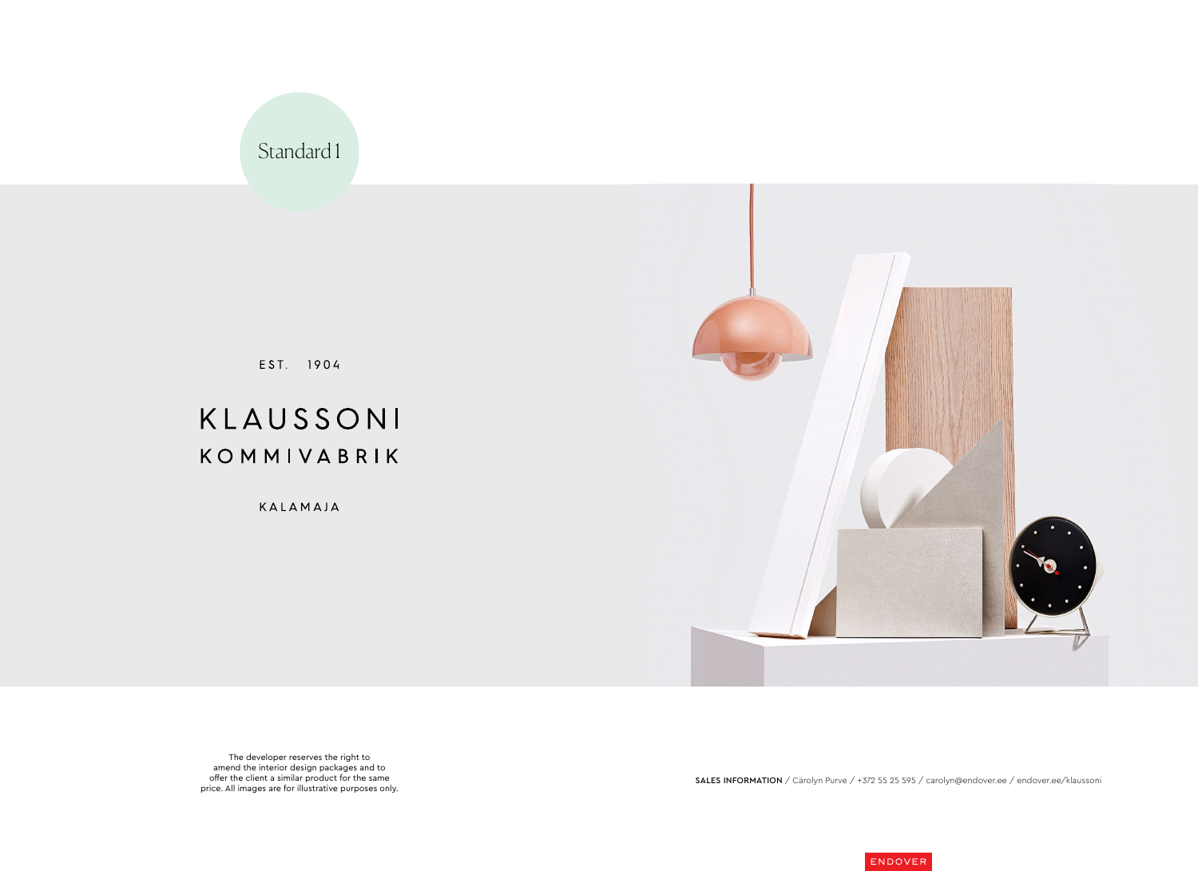





SALES INFORMATION / Cärolyn Purve / +372 55 25 595 / carolyn@endover.ee / endover.ee/klaussoni





EST. 1904

# KLAUSSONI KOMMIVABRIK

KALAMAJA